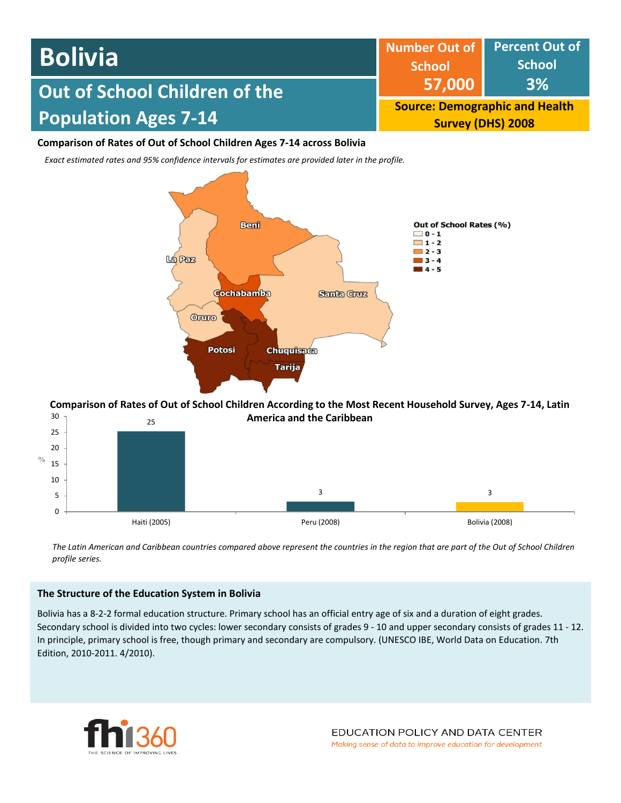| <b>Bolivia</b>                       | <b>School</b>                                                     | Number Out of Percent Out of<br><b>School</b> |  |
|--------------------------------------|-------------------------------------------------------------------|-----------------------------------------------|--|
| <b>Out of School Children of the</b> | 57,000                                                            | <b>3%</b>                                     |  |
| <b>Population Ages 7-14</b>          | <b>Source: Demographic and Health</b><br><b>Survey (DHS) 2008</b> |                                               |  |

# **Comparison of Rates of Out of School Children Ages 7-14 across Bolivia**

*Exact estimated rates and 95% confidence intervals for estimates are provided later in the profile.* 



#### 25 30 **Comparison of Rates of Out of School Children According to the Most Recent Household Survey, Ages 7-14, Latin America and the Caribbean**



*The Latin American and Caribbean countries compared above represent the countries in the region that are part of the Out of School Children profile series.*

# **The Structure of the Education System in Bolivia**

Bolivia has a 8-2-2 formal education structure. Primary school has an official entry age of six and a duration of eight grades. Secondary school is divided into two cycles: lower secondary consists of grades 9 - 10 and upper secondary consists of grades 11 - 12. In principle, primary school is free, though primary and secondary are compulsory. (UNESCO IBE, World Data on Education. 7th Edition, 2010-2011. 4/2010).

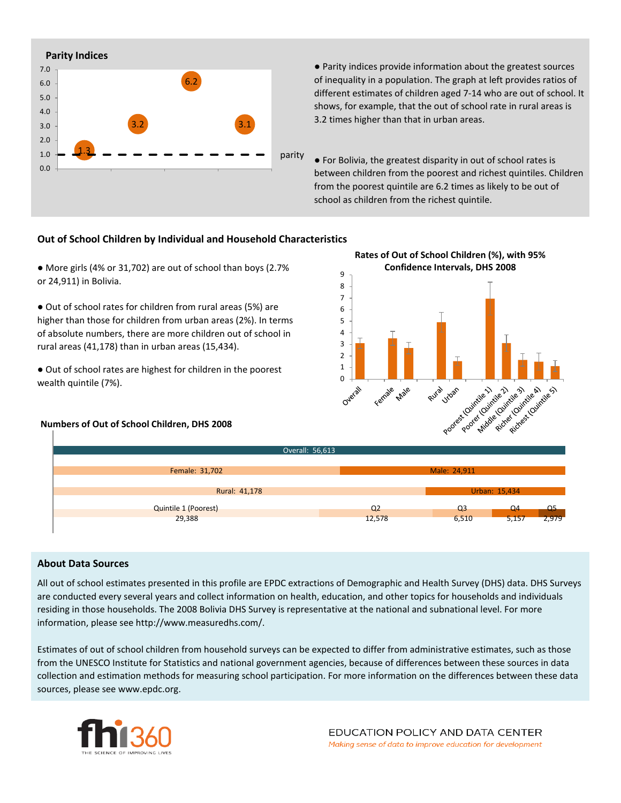

● Parity indices provide information about the greatest sources of inequality in a population. The graph at left provides ratios of different estimates of children aged 7-14 who are out of school. It shows, for example, that the out of school rate in rural areas is 3.2 times higher than that in urban areas.

● For Bolivia, the greatest disparity in out of school rates is between children from the poorest and richest quintiles. Children from the poorest quintile are 6.2 times as likely to be out of school as children from the richest quintile.

# **Out of School Children by Individual and Household Characteristics**

● More girls (4% or 31,702) are out of school than boys (2.7% or 24,911) in Bolivia.

● Out of school rates for children from rural areas (5%) are higher than those for children from urban areas (2%). In terms of absolute numbers, there are more children out of school in rural areas (41,178) than in urban areas (15,434).

● Out of school rates are highest for children in the poorest wealth quintile (7%).

### **Numbers of Out of School Children, DHS 2008**





### **About Data Sources**

All out of school estimates presented in this profile are EPDC extractions of Demographic and Health Survey (DHS) data. DHS Surveys are conducted every several years and collect information on health, education, and other topics for households and individuals residing in those households. The 2008 Bolivia DHS Survey is representative at the national and subnational level. For more information, please see http://www.measuredhs.com/.

Estimates of out of school children from household surveys can be expected to differ from administrative estimates, such as those from the UNESCO Institute for Statistics and national government agencies, because of differences between these sources in data collection and estimation methods for measuring school participation. For more information on the differences between these data sources, please see www.epdc.org.

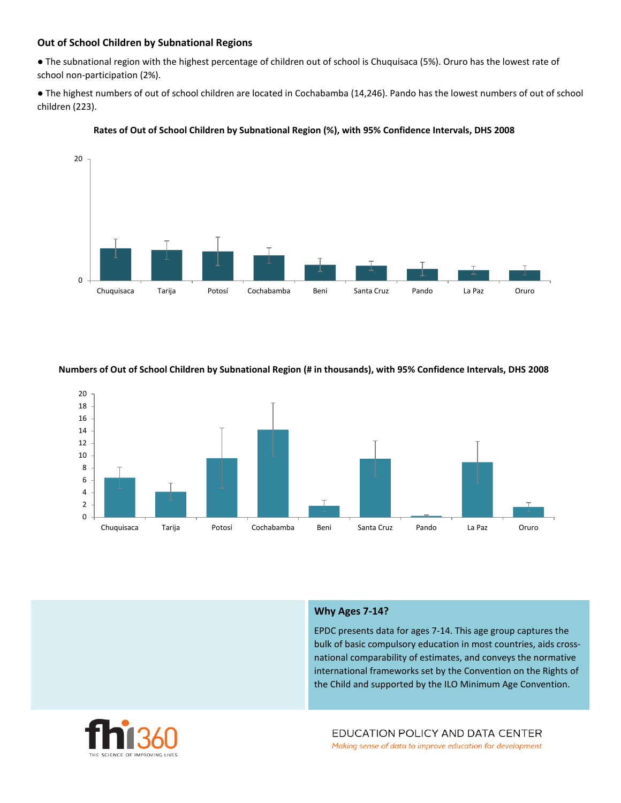# **Out of School Children by Subnational Regions**

● The subnational region with the highest percentage of children out of school is Chuquisaca (5%). Oruro has the lowest rate of school non-participation (2%).

● The highest numbers of out of school children are located in Cochabamba (14,246). Pando has the lowest numbers of out of school children (223).



#### **Rates of Out of School Children by Subnational Region (%), with 95% Confidence Intervals, DHS 2008**

#### **Numbers of Out of School Children by Subnational Region (# in thousands), with 95% Confidence Intervals, DHS 2008**



#### **Why Ages 7-14?**

EPDC presents data for ages 7-14. This age group captures the bulk of basic compulsory education in most countries, aids crossnational comparability of estimates, and conveys the normative international frameworks set by the Convention on the Rights of the Child and supported by the ILO Minimum Age Convention.



EDUCATION POLICY AND DATA CENTER Making sense of data to improve education for development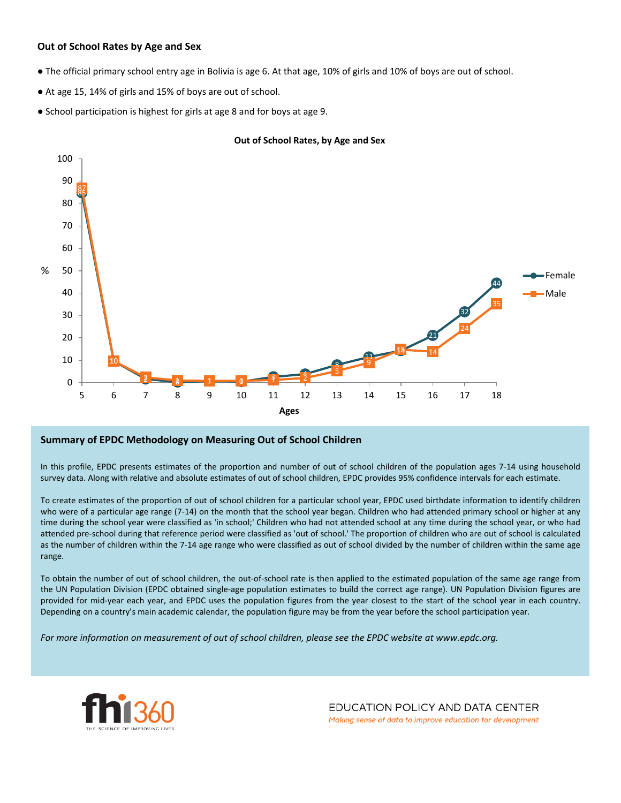# **Out of School Rates by Age and Sex**

- The official primary school entry age in Bolivia is age 6. At that age, 10% of girls and 10% of boys are out of school.
- At age 15, 14% of girls and 15% of boys are out of school.
- School participation is highest for girls at age 8 and for boys at age 9.



### **Out of School Rates, by Age and Sex**

### **Summary of EPDC Methodology on Measuring Out of School Children**

In this profile, EPDC presents estimates of the proportion and number of out of school children of the population ages 7-14 using household survey data. Along with relative and absolute estimates of out of school children, EPDC provides 95% confidence intervals for each estimate.

To create estimates of the proportion of out of school children for a particular school year, EPDC used birthdate information to identify children who were of a particular age range (7-14) on the month that the school year began. Children who had attended primary school or higher at any time during the school year were classified as 'in school;' Children who had not attended school at any time during the school year, or who had attended pre-school during that reference period were classified as 'out of school.' The proportion of children who are out of school is calculated as the number of children within the 7-14 age range who were classified as out of school divided by the number of children within the same age range.

To obtain the number of out of school children, the out-of-school rate is then applied to the estimated population of the same age range from the UN Population Division (EPDC obtained single-age population estimates to build the correct age range). UN Population Division figures are provided for mid-year each year, and EPDC uses the population figures from the year closest to the start of the school year in each country. Depending on a country's main academic calendar, the population figure may be from the year before the school participation year.

For more information on measurement of out of school children, please see the EPDC website at www.epdc.org.



EDUCATION POLICY AND DATA CENTER Making sense of data to improve education for development